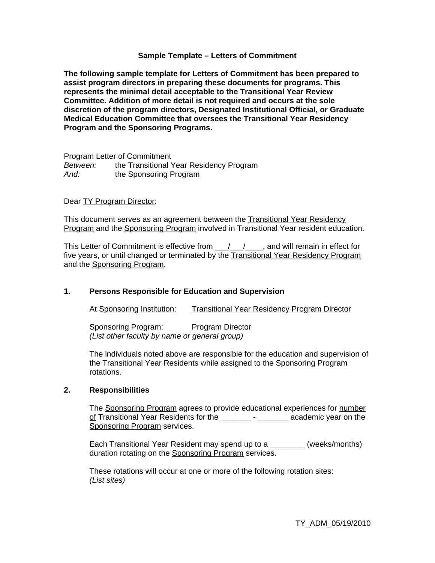## **Sample Template – Letters of Commitment**

**The following sample template for Letters of Commitment has been prepared to assist program directors in preparing these documents for programs. This represents the minimal detail acceptable to the Transitional Year Review Committee. Addition of more detail is not required and occurs at the sole discretion of the program directors, Designated Institutional Official, or Graduate Medical Education Committee that oversees the Transitional Year Residency Program and the Sponsoring Programs.** 

Program Letter of Commitment *Between:* the Transitional Year Residency Program *And:* the Sponsoring Program

## Dear TY Program Director:

This document serves as an agreement between the Transitional Year Residency Program and the Sponsoring Program involved in Transitional Year resident education.

This Letter of Commitment is effective from  $\frac{1}{\sqrt{2}}$ , and will remain in effect for five years, or until changed or terminated by the Transitional Year Residency Program and the Sponsoring Program.

# **1. Persons Responsible for Education and Supervision**

At Sponsoring Institution: Transitional Year Residency Program Director

Sponsoring Program: Program Director *(List other faculty by name or general group)* 

The individuals noted above are responsible for the education and supervision of the Transitional Year Residents while assigned to the Sponsoring Program rotations.

#### **2. Responsibilities**

The Sponsoring Program agrees to provide educational experiences for number of Transitional Year Residents for the \_\_\_\_\_\_\_ - \_\_\_\_\_\_\_ academic year on the **Sponsoring Program services.** 

Each Transitional Year Resident may spend up to a \_\_\_\_\_\_\_\_ (weeks/months) duration rotating on the Sponsoring Program services.

These rotations will occur at one or more of the following rotation sites: *(List sites)*